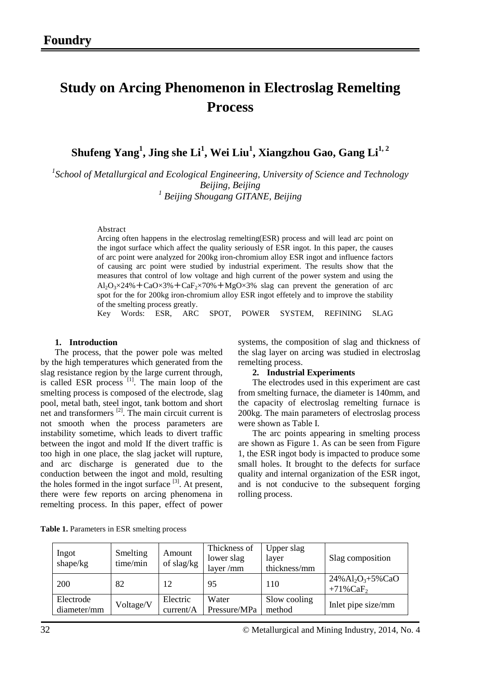# **Study on Arcing Phenomenon in Electroslag Remelting Process**

 $\boldsymbol{\mathrm{Shufeng\ Yang^1, Jing\ she\ Li^1, Wei\ Liu^1, Xiangzhou Gao, Gang Li^{1,2}}$ 

*1 School of Metallurgical and Ecological Engineering, University of Science and Technology Beijing, Beijing <sup>1</sup> Beijing Shougang GITANE, Beijing*

Abstract

Arcing often happens in the electroslag remelting(ESR) process and will lead arc point on the ingot surface which affect the quality seriously of ESR ingot. In this paper, the causes of arc point were analyzed for 200kg iron-chromium alloy ESR ingot and influence factors of causing arc point were studied by industrial experiment. The results show that the measures that control of low voltage and high current of the power system and using the  $A_1O_3 \times 24\% + CaO \times 3\% + CaF_2 \times 70\% + MgO \times 3\%$  slag can prevent the generation of arc spot for the for 200kg iron-chromium alloy ESR ingot effetely and to improve the stability of the smelting process greatly.

Key Words: ESR, ARC SPOT, POWER SYSTEM, REFINING SLAG

#### **1. Introduction**

The process, that the power pole was melted by the high temperatures which generated from the slag resistance region by the large current through, is called ESR process [1]. The main loop of the smelting process is composed of the electrode, slag pool, metal bath, steel ingot, tank bottom and short net and transformers  $^{[2]}$ . The main circuit current is not smooth when the process parameters are instability sometime, which leads to divert traffic between the ingot and mold. If the divert traffic is too high in one place, the slag jacket will rupture, and arc discharge is generated due to the conduction between the ingot and mold, resulting the holes formed in the ingot surface  $[3]$ . At present, there were few reports on arcing phenomena in remelting process. In this paper, effect of power systems, the composition of slag and thickness of the slag layer on arcing was studied in electroslag remelting process.

#### **2. Industrial Experiments**

The electrodes used in this experiment are cast from smelting furnace, the diameter is 140mm, and the capacity of electroslag remelting furnace is 200kg. The main parameters of electroslag process were shown as Table I.

The arc points appearing in smelting process are shown as Figure 1. As can be seen from Figure 1, the ESR ingot body is impacted to produce some small holes. It brought to the defects for surface quality and internal organization of the ESR ingot, and is not conducive to the subsequent forging rolling process.

| Ingot<br>shape/kg        | Smelting<br>time/min | Amount<br>of slag/kg  | Thickness of<br>lower slag<br>layer / $mm$ | Upper slag<br>layer<br>thickness/mm | Slag composition                                                         |
|--------------------------|----------------------|-----------------------|--------------------------------------------|-------------------------------------|--------------------------------------------------------------------------|
| <b>200</b>               | 82                   | 12                    | 95                                         | 110                                 | $24\%$ Al <sub>2</sub> O <sub>3</sub> +5%CaO<br>$+71\%$ CaF <sub>2</sub> |
| Electrode<br>diameter/mm | Voltage/V            | Electric<br>current/A | Water<br>Pressure/MPa                      | Slow cooling<br>method              | Inlet pipe size/mm                                                       |

**Table 1.** Parameters in ESR smelting process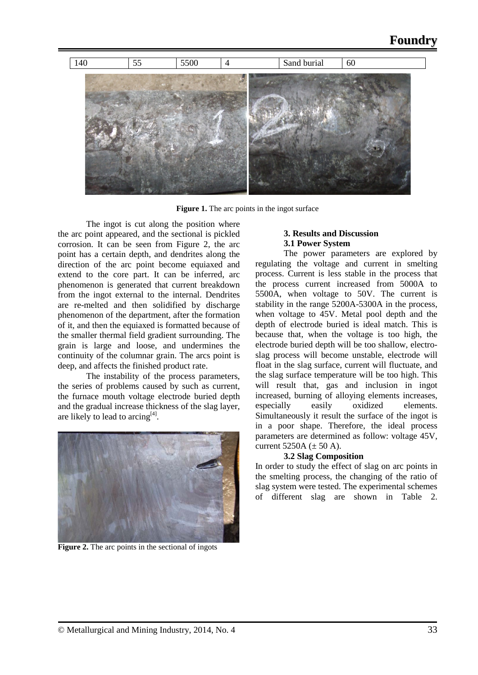

**Figure 1.** The arc points in the ingot surface

The ingot is cut along the position where the arc point appeared, and the sectional is pickled corrosion. It can be seen from Figure 2, the arc point has a certain depth, and dendrites along the direction of the arc point become equiaxed and extend to the core part. It can be inferred, arc phenomenon is generated that current breakdown from the ingot external to the internal. Dendrites are re-melted and then solidified by discharge phenomenon of the department, after the formation of it, and then the equiaxed is formatted because of the smaller thermal field gradient surrounding. The grain is large and loose, and undermines the continuity of the columnar grain. The arcs point is deep, and affects the finished product rate.

The instability of the process parameters, the series of problems caused by such as current, the furnace mouth voltage electrode buried depth and the gradual increase thickness of the slag layer, are likely to lead to arcing<sup>[4]</sup>.



**Figure 2.** The arc points in the sectional of ingots

# **3. Results and Discussion 3.1 Power System**

The power parameters are explored by regulating the voltage and current in smelting process. Current is less stable in the process that the process current increased from 5000A to 5500A, when voltage to 50V. The current is stability in the range 5200A-5300A in the process, when voltage to 45V. Metal pool depth and the depth of electrode buried is ideal match. This is because that, when the voltage is too high, the electrode buried depth will be too shallow, electroslag process will become unstable, electrode will float in the slag surface, current will fluctuate, and the slag surface temperature will be too high. This will result that, gas and inclusion in ingot increased, burning of alloying elements increases, especially easily oxidized elements. Simultaneously it result the surface of the ingot is in a poor shape. Therefore, the ideal process parameters are determined as follow: voltage 45V, current  $5250A \ (\pm 50 A)$ .

# **3.2 Slag Composition**

In order to study the effect of slag on arc points in the smelting process, the changing of the ratio of slag system were tested. The experimental schemes of different slag are shown in Table 2.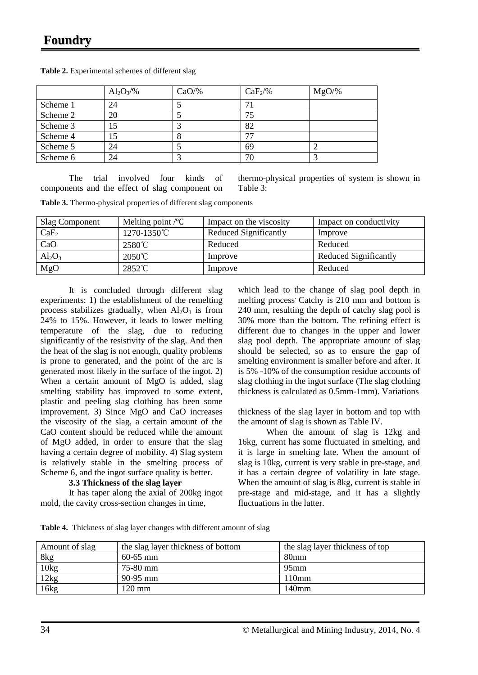|          | $Al_2O_3/\%$ | $CaO/\%$ | $CaF_2\%$ | $MgO/\%$ |
|----------|--------------|----------|-----------|----------|
| Scheme 1 | 24           |          | 7         |          |
| Scheme 2 | 20           |          | 75        |          |
| Scheme 3 | 15           |          | 82        |          |
| Scheme 4 | 15           |          | π,        |          |
| Scheme 5 | 24           |          | 69        |          |
| Scheme 6 | 24           |          | 70        |          |

**Table 2.** Experimental schemes of different slag

The trial involved four kinds of components and the effect of slag component on

thermo-physical properties of system is shown in Table 3:

**Table 3.** Thermo-physical properties of different slag components

| <b>Slag Component</b> | Melting point $\sqrt{\ }C$ | Impact on the viscosity | Impact on conductivity |
|-----------------------|----------------------------|-------------------------|------------------------|
| CaF <sub>2</sub>      | 1270-1350°C                | Reduced Significantly   | Improve                |
| CaO                   | $2580^{\circ}$ C           | Reduced                 | Reduced                |
| $Al_2O_3$             | 2050℃                      | Improve                 | Reduced Significantly  |
| MgO                   | 2852°C                     | Improve                 | Reduced                |

It is concluded through different slag experiments: 1) the establishment of the remelting process stabilizes gradually, when  $Al_2O_3$  is from 24% to 15%. However, it leads to lower melting temperature of the slag, due to reducing significantly of the resistivity of the slag. And then the heat of the slag is not enough, quality problems is prone to generated, and the point of the arc is generated most likely in the surface of the ingot. 2) When a certain amount of MgO is added, slag smelting stability has improved to some extent, plastic and peeling slag clothing has been some improvement. 3) Since MgO and CaO increases the viscosity of the slag, a certain amount of the CaO content should be reduced while the amount of MgO added, in order to ensure that the slag having a certain degree of mobility. 4) Slag system is relatively stable in the smelting process of Scheme 6, and the ingot surface quality is better.

#### **3.3 Thickness of the slag layer**

It has taper along the axial of 200kg ingot mold, the cavity cross-section changes in time,

which lead to the change of slag pool depth in melting process. Catchy is 210 mm and bottom is 240 mm, resulting the depth of catchy slag pool is 30% more than the bottom. The refining effect is different due to changes in the upper and lower slag pool depth. The appropriate amount of slag should be selected, so as to ensure the gap of smelting environment is smaller before and after. It is 5% -10% of the consumption residue accounts of slag clothing in the ingot surface (The slag clothing thickness is calculated as 0.5mm-1mm). Variations

thickness of the slag layer in bottom and top with the amount of slag is shown as Table IV.

When the amount of slag is 12kg and 16kg, current has some fluctuated in smelting, and it is large in smelting late. When the amount of slag is 10kg, current is very stable in pre-stage, and it has a certain degree of volatility in late stage. When the amount of slag is 8kg, current is stable in pre-stage and mid-stage, and it has a slightly fluctuations in the latter.

**Table 4.** Thickness of slag layer changes with different amount of slag

| Amount of slag | the slag layer thickness of bottom | the slag layer thickness of top |  |
|----------------|------------------------------------|---------------------------------|--|
| 8kg            | $60-65$ mm                         | 80mm                            |  |
| 10kg           | 75-80 mm                           | 95 <sub>mm</sub>                |  |
| 12kg           | $90-95$ mm                         | 110mm                           |  |
| 16kg           | 120 mm                             | 140 <sub>mm</sub>               |  |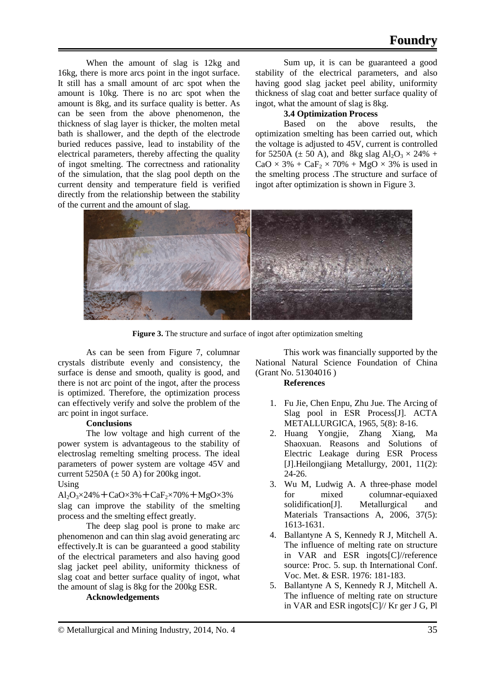When the amount of slag is 12kg and 16kg, there is more arcs point in the ingot surface. It still has a small amount of arc spot when the amount is 10kg. There is no arc spot when the amount is 8kg, and its surface quality is better. As can be seen from the above phenomenon, the thickness of slag layer is thicker, the molten metal bath is shallower, and the depth of the electrode buried reduces passive, lead to instability of the electrical parameters, thereby affecting the quality of ingot smelting. The correctness and rationality of the simulation, that the slag pool depth on the current density and temperature field is verified directly from the relationship between the stability of the current and the amount of slag.

Sum up, it is can be guaranteed a good stability of the electrical parameters, and also having good slag jacket peel ability, uniformity thickness of slag coat and better surface quality of ingot, what the amount of slag is 8kg.

# **3.4 Optimization Process**

Based on the above results, the optimization smelting has been carried out, which the voltage is adjusted to 45V, current is controlled for 5250A ( $\pm$  50 A), and 8kg slag Al<sub>2</sub>O<sub>3</sub>  $\times$  24% +  $CaO \times 3\% + CaF_2 \times 70\% + MgO \times 3\%$  is used in the smelting process .The structure and surface of ingot after optimization is shown in Figure 3.



**Figure 3.** The structure and surface of ingot after optimization smelting

As can be seen from Figure 7, columnar crystals distribute evenly and consistency, the surface is dense and smooth, quality is good, and there is not arc point of the ingot, after the process is optimized. Therefore, the optimization process can effectively verify and solve the problem of the arc point in ingot surface.

# **Conclusions**

The low voltage and high current of the power system is advantageous to the stability of electroslag remelting smelting process. The ideal parameters of power system are voltage 45V and current 5250A ( $\pm$  50 A) for 200kg ingot. Using

 $Al_2O_3 \times 24\% + CaO \times 3\% + CaF_2 \times 70\% + MgO \times 3\%$ slag can improve the stability of the smelting process and the smelting effect greatly.

The deep slag pool is prone to make arc phenomenon and can thin slag avoid generating arc effectively.It is can be guaranteed a good stability of the electrical parameters and also having good slag jacket peel ability, uniformity thickness of slag coat and better surface quality of ingot, what the amount of slag is 8kg for the 200kg ESR.

#### **Acknowledgements**

This work was financially supported by the National Natural Science Foundation of China (Grant No. 51304016 )

#### **References**

- 1. Fu Jie, Chen Enpu, Zhu Jue. The Arcing of Slag pool in ESR Process[J]. ACTA METALLURGICA, 1965, 5(8): 8-16.
- 2. Huang Yongjie, Zhang Xiang, Ma Shaoxuan. Reasons and Solutions of Electric Leakage during ESR Process [J].Heilongjiang Metallurgy, 2001, 11(2): 24-26.
- 3. Wu M, Ludwig A. A three-phase model for mixed columnar-equiaxed solidification[J]. Metallurgical and Materials Transactions A, 2006, 37(5): 1613-1631.
- 4. Ballantyne A S, Kennedy R J, Mitchell A. The influence of melting rate on structure in VAR and ESR ingots[C]//reference source: Proc. 5. sup. th International Conf. Voc. Met. & ESR. 1976: 181-183.
- 5. Ballantyne A S, Kennedy R J, Mitchell A. The influence of melting rate on structure in VAR and ESR ingots[C]// Kr ger J G, Pl